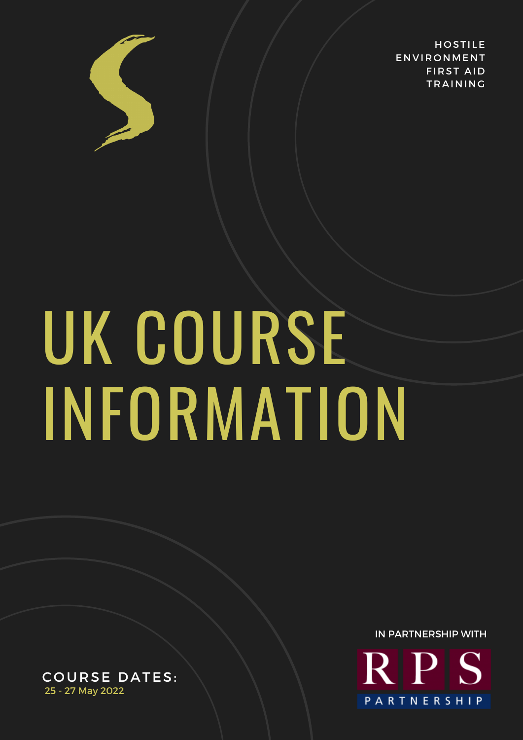

**HOSTILE ENVIRONMENT FIRST AID TRAINING** 

# UK COURSE INFORMATION

IN PARTNERSHIP WITH**RPS** PARTNERSHIP

COURSE DATES: 25 - 27 May 2022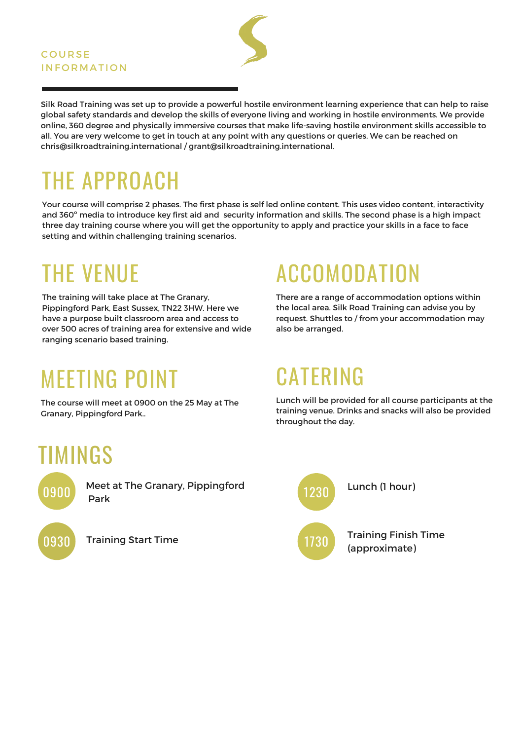#### **COURSE INFORMATION**

Silk Road Training was set up to provide a powerful hostile environment learning experience that can help to raise global safety standards and develop the skills of everyone living and working in hostile environments. We provide online, 360 degree and physically immersive courses that make life-saving hostile environment skills accessible to all. You are very welcome to get in touch at any point with any questions or queries. We can be reached on chris@silkroadtraining.international / grant@silkroadtraining.international.

# THE APPROACH

Your course will comprise 2 phases. The first phase is self led online content. This uses video content, interactivity and 360º media to introduce key first aid and security information and skills. The second phase is a high impact three day training course where you will get the opportunity to apply and practice your skills in a face to face setting and within challenging training scenarios.

#### THE VENUE

The training will take place at The Granary, Pippingford Park, East Sussex, TN22 3HW. Here we have a purpose built classroom area and access to over 500 acres of training area for extensive and wide ranging scenario based training.

#### MEETING POINT

The course will meet at 0900 on the 25 May at The Granary, Pippingford Park..

# ACCOMODATION

There are a range of accommodation options within the local area. Silk Road Training can advise you by request. Shuttles to / from your accommodation may also be arranged.

### CATERING

Lunch will be provided for all course participants at the training venue. Drinks and snacks will also be provided throughout the day.

#### TIMINGS



Meet at The Granary, Pippingford Park